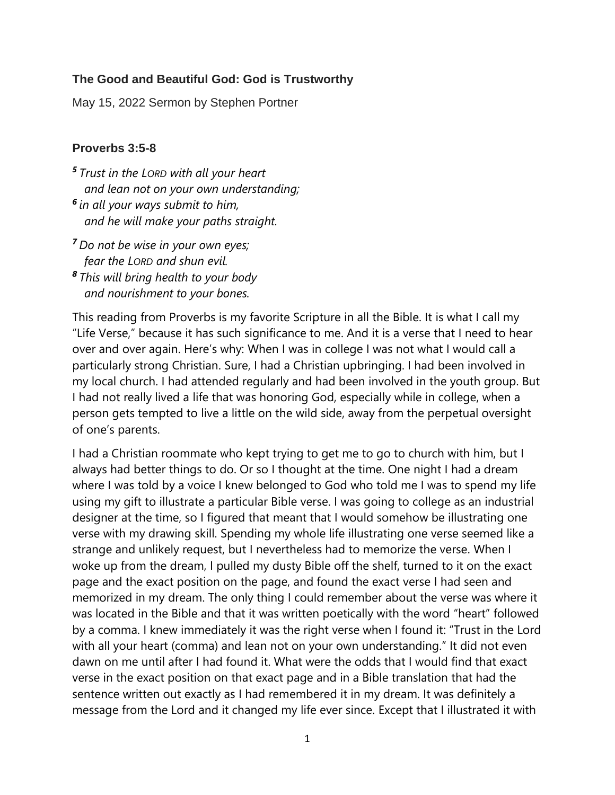## **The Good and Beautiful God: God is Trustworthy**

May 15, 2022 Sermon by Stephen Portner

## **Proverbs 3:5-8**

- *<sup>5</sup> Trust in the LORD with all your heart and lean not on your own understanding; 6 in all your ways submit to him, and he will make your paths straight.*
- *<sup>7</sup> Do not be wise in your own eyes; fear the LORD and shun evil. <sup>8</sup> This will bring health to your body and nourishment to your bones.*

This reading from Proverbs is my favorite Scripture in all the Bible. It is what I call my "Life Verse," because it has such significance to me. And it is a verse that I need to hear over and over again. Here's why: When I was in college I was not what I would call a particularly strong Christian. Sure, I had a Christian upbringing. I had been involved in my local church. I had attended regularly and had been involved in the youth group. But I had not really lived a life that was honoring God, especially while in college, when a person gets tempted to live a little on the wild side, away from the perpetual oversight of one's parents.

I had a Christian roommate who kept trying to get me to go to church with him, but I always had better things to do. Or so I thought at the time. One night I had a dream where I was told by a voice I knew belonged to God who told me I was to spend my life using my gift to illustrate a particular Bible verse. I was going to college as an industrial designer at the time, so I figured that meant that I would somehow be illustrating one verse with my drawing skill. Spending my whole life illustrating one verse seemed like a strange and unlikely request, but I nevertheless had to memorize the verse. When I woke up from the dream, I pulled my dusty Bible off the shelf, turned to it on the exact page and the exact position on the page, and found the exact verse I had seen and memorized in my dream. The only thing I could remember about the verse was where it was located in the Bible and that it was written poetically with the word "heart" followed by a comma. I knew immediately it was the right verse when I found it: "Trust in the Lord with all your heart (comma) and lean not on your own understanding." It did not even dawn on me until after I had found it. What were the odds that I would find that exact verse in the exact position on that exact page and in a Bible translation that had the sentence written out exactly as I had remembered it in my dream. It was definitely a message from the Lord and it changed my life ever since. Except that I illustrated it with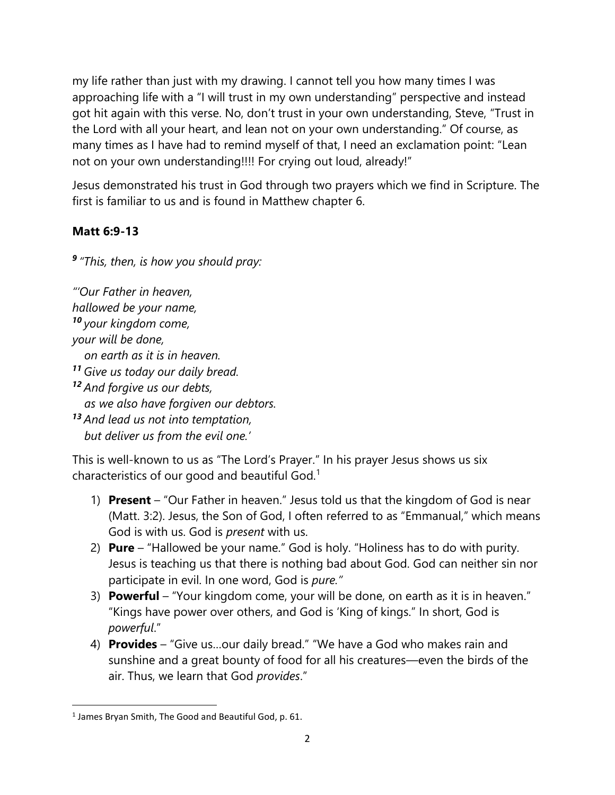my life rather than just with my drawing. I cannot tell you how many times I was approaching life with a "I will trust in my own understanding" perspective and instead got hit again with this verse. No, don't trust in your own understanding, Steve, "Trust in the Lord with all your heart, and lean not on your own understanding." Of course, as many times as I have had to remind myself of that, I need an exclamation point: "Lean not on your own understanding!!!! For crying out loud, already!"

Jesus demonstrated his trust in God through two prayers which we find in Scripture. The first is familiar to us and is found in Matthew chapter 6.

## **Matt 6:9-13**

*9 "This, then, is how you should pray:*

*"'Our Father in heaven, hallowed be your name, <sup>10</sup> your kingdom come, your will be done, on earth as it is in heaven. <sup>11</sup> Give us today our daily bread. <sup>12</sup> And forgive us our debts, as we also have forgiven our debtors. <sup>13</sup> And lead us not into temptation, but deliver us from the evil one.'*

This is well-known to us as "The Lord's Prayer." In his prayer Jesus shows us six characteristics of our good and beautiful God.<sup>1</sup>

- 1) **Present** "Our Father in heaven." Jesus told us that the kingdom of God is near (Matt. 3:2). Jesus, the Son of God, I often referred to as "Emmanual," which means God is with us. God is *present* with us.
- 2) **Pure** "Hallowed be your name." God is holy. "Holiness has to do with purity. Jesus is teaching us that there is nothing bad about God. God can neither sin nor participate in evil. In one word, God is *pure."*
- 3) **Powerful** "Your kingdom come, your will be done, on earth as it is in heaven." "Kings have power over others, and God is 'King of kings." In short, God is *powerful*."
- 4) **Provides** "Give us…our daily bread." "We have a God who makes rain and sunshine and a great bounty of food for all his creatures—even the birds of the air. Thus, we learn that God *provides*."

<sup>&</sup>lt;sup>1</sup> James Bryan Smith, The Good and Beautiful God, p. 61.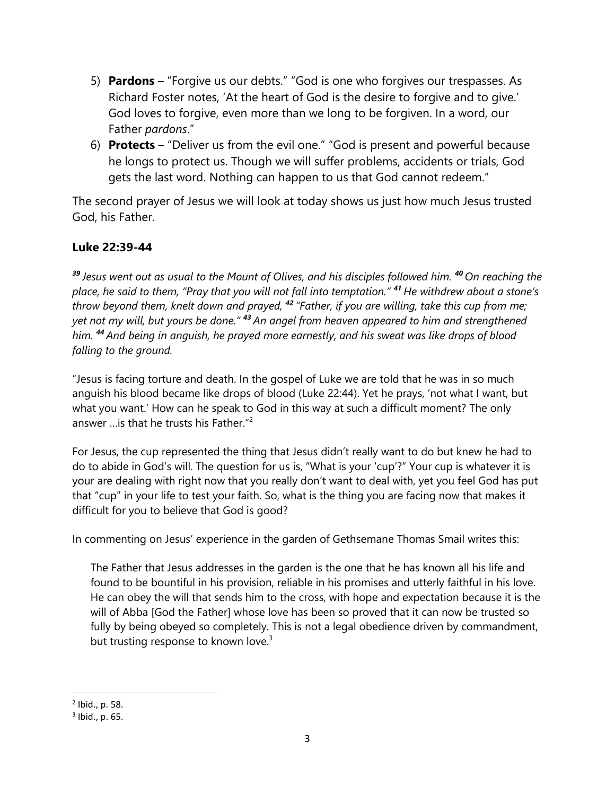- 5) **Pardons** "Forgive us our debts." "God is one who forgives our trespasses. As Richard Foster notes, 'At the heart of God is the desire to forgive and to give.' God loves to forgive, even more than we long to be forgiven. In a word, our Father *pardons*."
- 6) **Protects** "Deliver us from the evil one." "God is present and powerful because he longs to protect us. Though we will suffer problems, accidents or trials, God gets the last word. Nothing can happen to us that God cannot redeem."

The second prayer of Jesus we will look at today shows us just how much Jesus trusted God, his Father.

## **Luke 22:39-44**

*<sup>39</sup> Jesus went out as usual to the Mount of Olives, and his disciples followed him. <sup>40</sup> On reaching the place, he said to them, "Pray that you will not fall into temptation." <sup>41</sup> He withdrew about a stone's throw beyond them, knelt down and prayed, <sup>42</sup> "Father, if you are willing, take this cup from me; yet not my will, but yours be done." <sup>43</sup> An angel from heaven appeared to him and strengthened him. <sup>44</sup> And being in anguish, he prayed more earnestly, and his sweat was like drops of blood falling to the ground.*

"Jesus is facing torture and death. In the gospel of Luke we are told that he was in so much anguish his blood became like drops of blood (Luke 22:44). Yet he prays, 'not what I want, but what you want.' How can he speak to God in this way at such a difficult moment? The only answer …is that he trusts his Father."<sup>2</sup>

For Jesus, the cup represented the thing that Jesus didn't really want to do but knew he had to do to abide in God's will. The question for us is, "What is your 'cup'?" Your cup is whatever it is your are dealing with right now that you really don't want to deal with, yet you feel God has put that "cup" in your life to test your faith. So, what is the thing you are facing now that makes it difficult for you to believe that God is good?

In commenting on Jesus' experience in the garden of Gethsemane Thomas Smail writes this:

The Father that Jesus addresses in the garden is the one that he has known all his life and found to be bountiful in his provision, reliable in his promises and utterly faithful in his love. He can obey the will that sends him to the cross, with hope and expectation because it is the will of Abba [God the Father] whose love has been so proved that it can now be trusted so fully by being obeyed so completely. This is not a legal obedience driven by commandment, but trusting response to known love. $3$ 

<sup>2</sup> Ibid., p. 58.

<sup>3</sup> Ibid., p. 65.